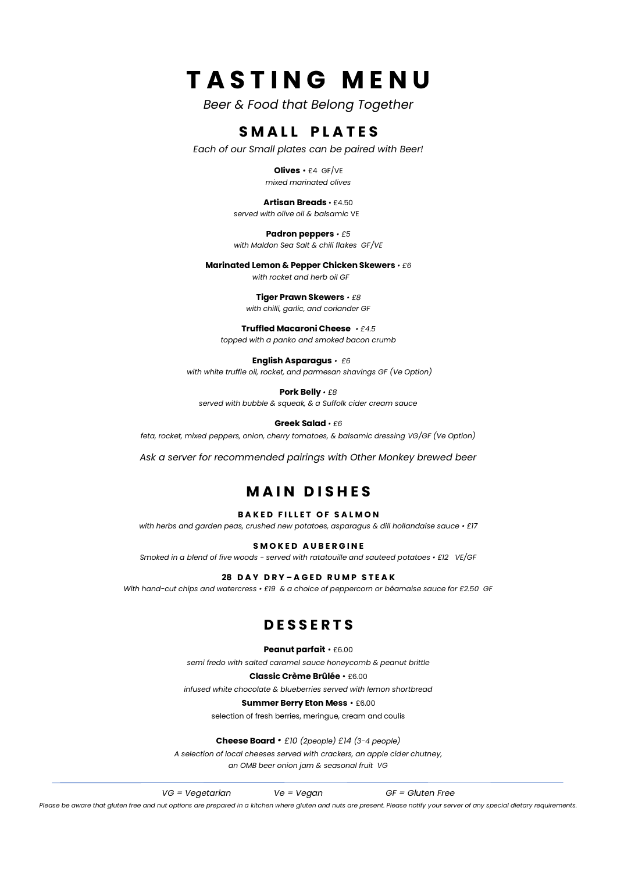## **T A S T I N G M E N U**

*Beer & Food that Belong Together*

#### **SMALL PLATES**

*Each of our Small plates can be paired with Beer!*

**Olives** • £4 GF/VE *mixed marinated olives*

**Artisan Breads** • £4.50 *served with olive oil & balsamic* VE

**Padron peppers** *• £5 with Maldon Sea Salt & chili flakes GF/VE*

**Marinated Lemon & Pepper Chicken Skewers** *• £6*

*with rocket and herb oil GF* 

**Tiger Prawn Skewers** *• £8 with chilli, garlic, and coriander GF*

**Truffled Macaroni Cheese** *• £4.5 topped with a panko and smoked bacon crumb*

**English Asparagus** *• £6 with white truffle oil, rocket, and parmesan shavings GF (Ve Option)*

**Pork Belly** *• £8 served with bubble & squeak, & a Suffolk cider cream sauce* 

**Greek Salad** *• £6*

*feta, rocket, mixed peppers, onion, cherry tomatoes, & balsamic dressing VG/GF (Ve Option)*

*Ask a server for recommended pairings with Other Monkey brewed beer*

#### **M A I N D I S H E S**

**BAKED FILLET OF SALMON** 

*with herbs and garden peas, crushed new potatoes, asparagus & dill hollandaise sauce • £17*

**SMOKED AUBERGINE** 

*Smoked in a blend of five woods - served with ratatouille and sauteed potatoes • £12 VE/GF*

**28 D A Y D R Y – A G E D R U M P S T E A K** 

*With hand-cut chips and watercress • £19 & a choice of peppercorn or béarnaise sauce for £2.50 GF*

#### **D E S S E R T S**

**Peanut parfait** • £6.00

*semi fredo with salted caramel sauce honeycomb & peanut brittle*

**Classic Crème Brûlée** • £6.00

*infused white chocolate & blueberries served with lemon shortbread*

**Summer Berry Eton Mess** • £6.00

selection of fresh berries, meringue, cream and coulis

**Cheese Board** *• £10 (2people) £14 (3-4 people)*

*A selection of local cheeses served with crackers, an apple cider chutney,* 

*an OMB beer onion jam & seasonal fruit VG*

*VG = Vegetarian Ve = Vegan GF = Gluten Free Please be aware that gluten free and nut options are prepared in a kitchen where gluten and nuts are present. Please notify your server of any special dietary requirements.*